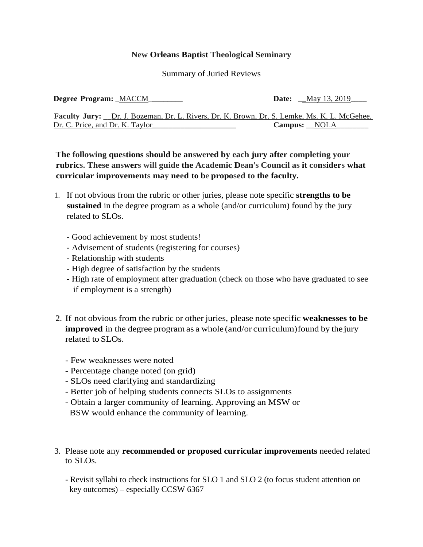## **New Orleans Baptist Theological Seminary**

Summary of Juried Reviews

**Degree Program:** \_MACCM\_**\_\_\_\_\_\_\_\_ Date: \_\_**May 13, 2019**\_\_\_\_ Faculty Jury: \_\_**Dr. J. Bozeman, Dr. L. Rivers, Dr. K. Brown, Dr. S. Lemke, Ms. K. L. McGehee, Dr. C. Price, and Dr. K. Taylor**\_\_\_\_\_\_\_\_\_\_\_\_\_\_\_\_\_\_\_\_\_ Campus:** \_\_NOLA\_\_\_\_\_\_\_\_

**The following questions should be answered by each jury after completing your rubrics. These answers will guide the Academic Dean's Council as it considers what curricular improvements may need to be proposed to the faculty.**

- 1. If not obvious from the rubric or other juries, please note specific **strengths to be sustained** in the degree program as a whole (and/or curriculum) found by the jury related to SLOs.
	- Good achievement by most students!
	- Advisement of students (registering for courses)
	- Relationship with students
	- High degree of satisfaction by the students
	- High rate of employment after graduation (check on those who have graduated to see if employment is a strength)
- 2. If not obvious from the rubric or other juries, please note specific **weaknesses to be improved** in the degree program as a whole (and/or curriculum) found by the jury related to SLOs.
	- Few weaknesses were noted
	- Percentage change noted (on grid)
	- SLOs need clarifying and standardizing
	- Better job of helping students connects SLOs to assignments
	- Obtain a larger community of learning. Approving an MSW or BSW would enhance the community of learning.
- 3. Please note any **recommended or proposed curricular improvements** needed related to SLOs.
	- Revisit syllabi to check instructions for SLO 1 and SLO 2 (to focus student attention on key outcomes) – especially CCSW 6367